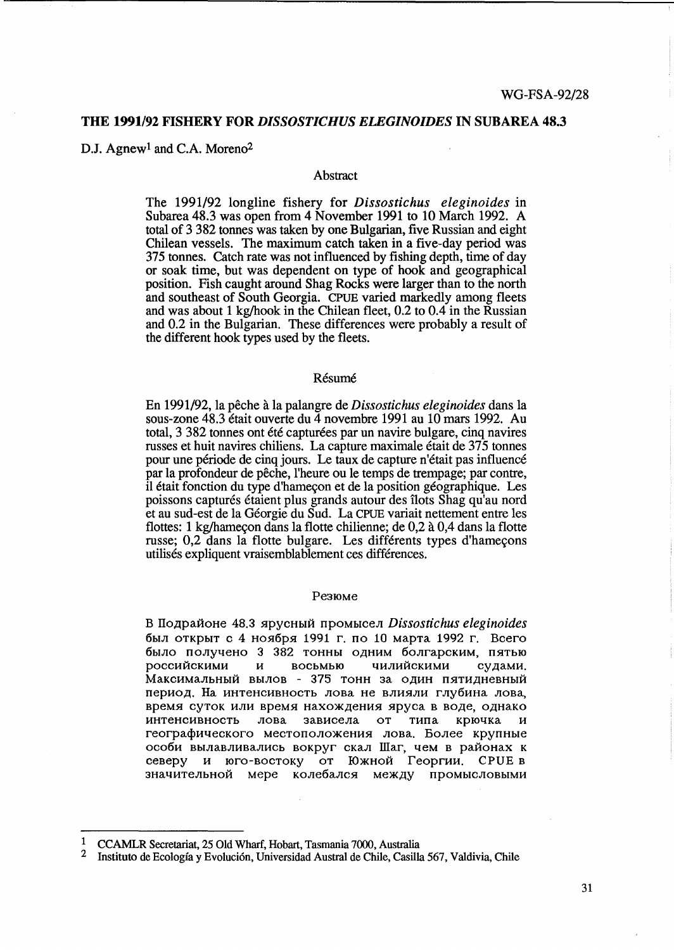### **THE 1991/92 FISHERY FOR** *DISSOSTICHUS ELEGINOIDES* **IN SUBAREA 48.3**

D.J. Agnew<sup>1</sup> and C.A. Moreno<sup>2</sup>

## Abstract

The 1991/92 longline fishery for *Dissostichus eleginoides* in Subarea 48.3 was open from 4 November 1991 to 10 March 1992. A total of 3 382 tonnes was taken by one Bulgarian, five Russian and eight Chilean vessels. The maximum catch taken in a five-day period was 375 tonnes. Catch rate was not influenced by fishing depth, time of day or soak time, but was dependent on type of hook and geographical position. Fish caught around Shag Rocks were larger than to the north and southeast of South Georgia. CPUE varied markedly among fleets and was about 1 kg/hook in the Chilean fleet, 0.2 to 0.4 in the Russian and 0.2 in the Bulgarian. These differences were probably a result of the different hook types used by the fleets.

# Résumé

En 1991/92, la peche a la palangre de *Dissostichus eleginoides* dans la sous-zone 48.3 était ouverte du 4 novembre 1991 au 10 mars 1992. Au total, 3 382 tonnes ont été capturées par un navire bulgare, cinq navires russes et huit navires chiliens. La capture maximale etait de 375 tonnes pour une période de cinq jours. Le taux de capture n'était pas influencé par la profondeur de peche, l'heure ou le temps de trempage; par contre, il était fonction du type d'hameçon et de la position géographique. Les poissons capturés étaient plus grands autour des îlots Shag qu'au nord et au sud-est de la Georgie du Sud. La CPUE variait nettement entre les flottes: 1 kg/hameçon dans la flotte chilienne; de 0,2 à 0,4 dans la flotte russe; 0,2 dans la flotte bulgare. Les différents types d'hameçons utilises expliquent vraisemblablement ces differences.

#### Pe3IOMe

B IIo~paHoHe 48.3 5.lPYCHbIH npOMbICeJI *Dissostichus eleginoides*  был открыт с 4 ноября 1991 г. по 10 марта 1992 г. Всего было получено 3 382 тонны одним болгарским, пятью российскими и восьмью чилийскими судами. Максимальный вылов - 375 тонн за один пятидневный период. На интенсивность лова не влияли глубина лова, время суток или время нахождения яруса в воде, однако интенсивность лова зависела от типа крючка и географического местоположения лова. Более крупные особи вылавливались вокруг скал Шаг, чем в районах к северу и юго-востоку от Южной Георгии. CPUE в значительной мере колебался между промысловыми

<sup>&</sup>lt;sup>1</sup> CCAMLR Secretariat, 25 Old Wharf, Hobart, Tasmania 7000, Australia<br><sup>2</sup> Instituto de Ecología y Evolución, Universidad Austral de Chile, Casilla

<sup>2</sup> Instituto de Ecologia y Evoluci6n, Universidad Austral de Chile, Casilla 567, Valdivia, Chile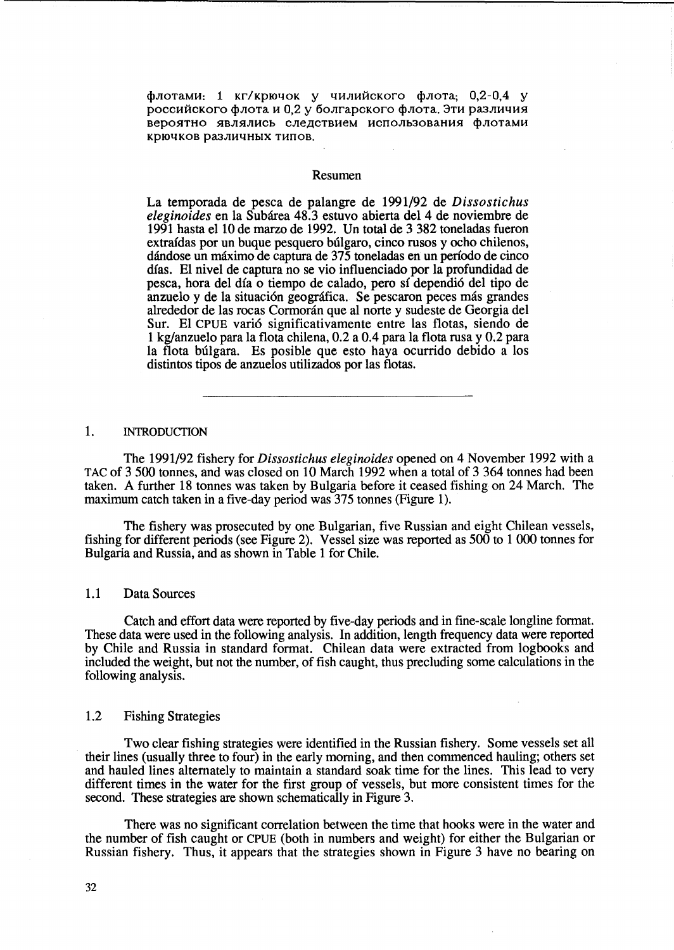флотами: 1 кг/крючок у чилийского флота; 0,2-0,4 у российского флота и 0,2 у болгарского флота. Эти различия вероятно являлись следствием использования флотами KPI04KOB Pa3J1H4HbIX THnOB.

#### Resumen

La temporada de pesca de palangre de 1991/92 de *Dissostichus eleginoides* en la Subarea 48.3 estuvo abierta del 4 de noviembre de 1991 hasta el 10 de marzo de 1992. Un total de 3 382 toneladas fueron extraídas por un buque pesquero búlgaro, cinco rusos y ocho chilenos, dándose un máximo de captura de 375 toneladas en un período de cinco dias. El nivel de captura no se vio influenciado por la profundidad de pesca, hora del dia 0 tiempo de calado, pero si dependi6 del tipo de anzuelo y de la situación geográfica. Se pescaron peces más grandes alrededor de las rocas Cormorán que al norte y sudeste de Georgia del Sur. El CPUE vari6 significativamente entre las flotas, siendo de 1 kg/anzuelo para la flota chilena, 0.2 a 0.4 para la flota rusa y 0.2 para la flota búlgara. Es posible que esto haya ocurrido debido a los distintos tipos de anzuelos utilizados por las flotas.

# 1. INTRODUCTION

The 1991/92 fishery for *Dissostichus eleginoides* opened on 4 November 1992 with a TAC of 3 500 tonnes, and was closed on 10 March 1992 when a total of 3 364 tonnes had been taken. A further 18 tonnes was taken by Bulgaria before it ceased fishing on 24 March. The maximum catch taken in a five-day period was 375 tonnes (Figure 1).

The fishery was prosecuted by one Bulgarian, five Russian and eight Chilean vessels, fishing for different periods (see Figure 2). Vessel size was reported as 500 to 1 000 tonnes for Bulgaria and Russia, and as shown in Table 1 for Chile.

## 1.1 Data Sources

Catch and effort data were reported by five-day periods and in fme-scale longline format. These data were used in the following analysis. In addition, length frequency data were reported by Chile and Russia in standard format. Chilean data were extracted from logbooks and included the weight, but not the number, of fish caught, thus precluding some calculations in the following analysis.

### 1.2 Fishing Strategies

Two clear fishing strategies were identified in the Russian fishery. Some vessels set all their lines (usually three to four) in the early morning, and then commenced hauling; others set and hauled lines alternately to maintain a standard soak time for the lines. This lead to very different times in the water for the first group of vessels, but more consistent times for the second. These strategies are shown schematically in Figure 3.

There was no significant correlation between the time that hooks were in the water and the number of fish caught or CPUE (both in numbers and weight) for either the Bulgarian or Russian fishery. Thus, it appears that the strategies shown in Figure 3 have no bearing on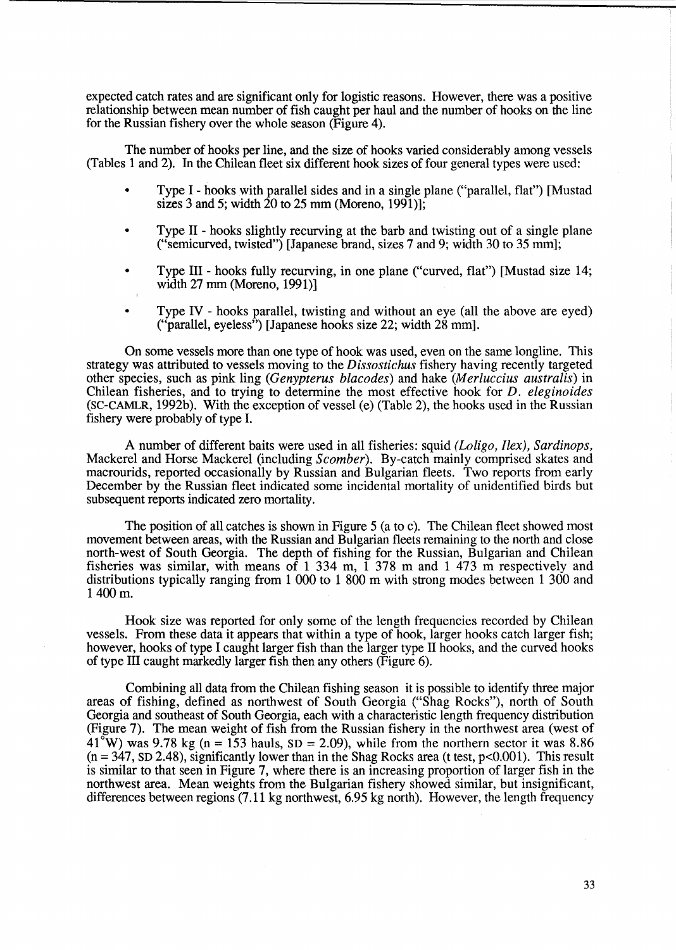expected catch rates and are significant only for logistic reasons. However, there was a positive relationship between mean number of fish caught per haul and the number of hooks on the line for the Russian fishery over the whole season (Figure 4).

The number of hooks per line, and the size of hooks varied considerably among vessels (Tables 1 and 2). In the Chilean fleet six different hook sizes of four general types were used:

- Type I hooks with parallel sides and in a single plane ("parallel, flat") [Mustad sizes 3 and 5; width  $\overline{20}$  to 25 mm (Moreno, 1991)];
- Type 11 hooks slightly recurving at the barb and twisting out of a single plane ("semicurved, twisted") [Japanese brand, sizes 7 and 9; width 30 to 35 mm];
- Type III hooks fully recurving, in one plane ("curved, flat") [Mustad size 14; width 27 mm (Moreno, 1991)]
- Type IV hooks parallel, twisting and without an eye (all the above are eyed) ("parallel, eyeless") [Japanese hooks size 22; width 28 mm].

On some vessels more than one type of hook was used, even on the same longline. This strategy was attributed to vessels moving to the *Dissostichus* fishery having recently targeted other species, such as pink ling *(Genypterus blacodes)* and hake *(Merluccius australis)* in Chilean fisheries, and to trying to determine the most effective hook for *D. eleginoides*  (SC-CAMLR, 1992b). With the exception of vessel (e) (Table 2), the hooks used in the Russian fishery were probably of type I.

A number of different baits were used in all fisheries: squid *(Loligo, /lex), Sardinops,*  Mackerel and Horse Mackerel (including *Scomber).* By-catch mainly comprised skates and macrourids, reported occasionally by Russian and Bulgarian fleets. Two reports from early December by the Russian fleet indicated some incidental mortality of unidentified birds but subsequent reports indicated zero mortality.

The position of all catches is shown in Figure 5 (a to c). The Chilean fleet showed most movement between areas, with the Russian and Bulgarian fleets remaining to the north and close north-west of South Georgia. The depth of fishing for the Russian, Bulgarian and Chilean fisheries was similar, with means of 1 334 m, 1 378 m and 1 473 m respectively and distributions typically ranging from 1 000 to 1 800 m with strong modes between 1 300 and 1400m.

Hook size was reported for only some of the length frequencies recorded by Chilean vessels. From these data it appears that within a type of hook, larger hooks catch larger fish; however, hooks of type I caught larger fish than the larger type IT hooks, and the curved hooks of type ill caught markedly larger fish then any others (Figure 6).

Combining all data from the Chilean fishing season it is possible to identify three major areas of fishing, defined as northwest of South Georgia ("Shag Rocks"), north of South Georgia and southeast of South Georgia, each with a characteristic length frequency distribution (Figure 7). The mean weight of fish from the Russian fishery in the northwest area (west of  $41^{\circ}$ W) was 9.78 kg (n = 153 hauls, SD = 2.09), while from the northern sector it was 8.86  $(n = 347, SD 2.48)$ , significantly lower than in the Shag Rocks area (t test, p<0.001). This result is similar to that seen in Figure 7, where there is an increasing proportion of larger fish in the northwest area. Mean weights from the Bulgarian fishery showed similar, but insignificant, differences between regions (7.11 kg northwest, 6.95 kg north). However, the length frequency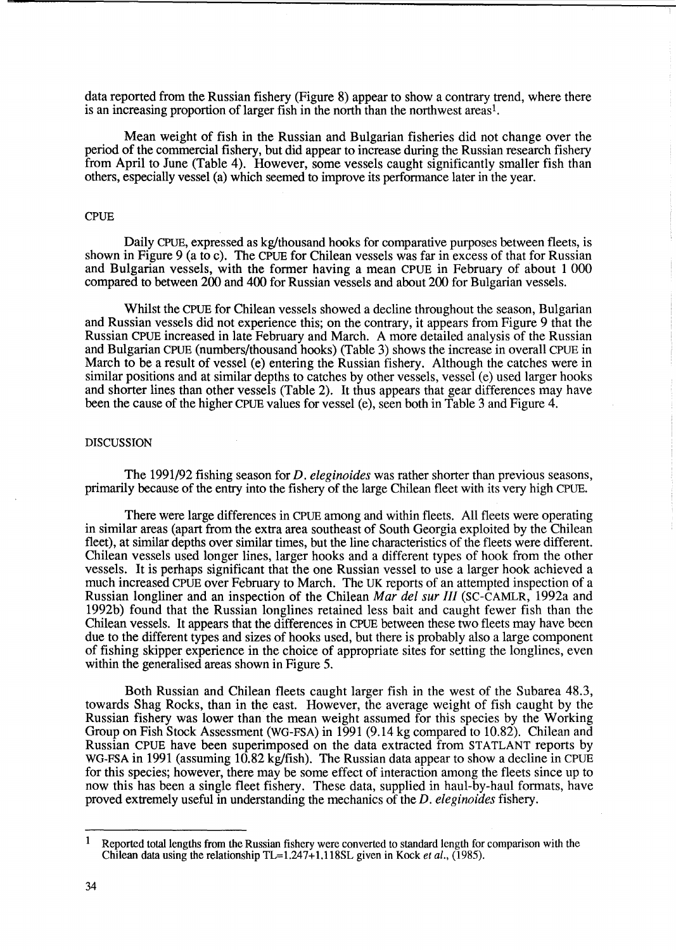data reported from the Russian fishery (Figure 8) appear to show a contrary trend, where there is an increasing proportion of larger fish in the north than the northwest areas<sup>1</sup>.

Mean weight of fish in the Russian and Bulgarian fisheries did not change over the period of the commercial fishery, but did appear to increase during the Russian research fishery from April to June (Table 4). However, some vessels caught significantly smaller fish than others, especially vessel (a) which seemed to improve its performance later in the year.

#### CPUE

Daily CPUE, expressed as kg/thousand hooks for comparative purposes between fleets, is shown in Figure 9 (a to c). The CPUE for Chilean vessels was far in excess of that for Russian and Bulgarian vessels, with the former having a mean CPUE in February of about 1 000 compared to between 200 and 400 for Russian vessels and about 200 for Bulgarian vessels.

Whilst the CPUE for Chilean vessels showed a decline throughout the season, Bulgarian and Russian vessels did not experience this; on the contrary, it appears from Figure 9 that the Russian CPUE increased in late February and March. A more detailed analysis of the Russian and Bulgarian CPUE (numbers/thousand hooks) (Table 3) shows the increase in overall CPUE in March to be a result of vessel (e) entering the Russian fishery. Although the catches were in similar positions and at similar depths to catches by other vessels, vessel (e) used larger hooks and shorter lines than other vessels (Table 2). It thus appears that gear differences may have been the cause of the higher CPUE values for vessel (e), seen both in Table 3 and Figure 4.

#### DISCUSSION

The 1991/92 fishing season for *D. eleginoides* was rather shorter than previous seasons, primarily because of the entry into the fishery of the large Chilean fleet with its very high CPUE.

There were large differences in CPUE among and within fleets. All fleets were operating in similar areas (apart from the extra area southeast of South Georgia exploited by the Chilean fleet), at similar depths over similar times, but the line characteristics of the fleets were different. Chilean vessels used longer lines, larger hooks and a different types of hook from the other vessels. It is perhaps significant that the one Russian vessel to use a larger hook achieved a much increased CPUE over February to March. The UK reports of an attempted inspection of a Russian longliner and an inspection of the Chilean *Mar del sur III* (SC-CAMLR, 1992a and 1992b) found that the Russian longlines retained less bait and caught fewer fish than the Chilean vessels. It appears that the differences in CPUE between these two fleets may have been due to the different types and sizes of hooks used, but there is probably also a large component of fishing skipper experience in the choice of appropriate sites for setting the longlines, even within the generalised areas shown in Figure 5.

Both Russian and Chilean fleets caught larger fish in the west of the Subarea 48.3, towards Shag Rocks, than in the east. However, the average weight of fish caught by the Russian fishery was lower than the mean weight assumed for this species by the Working Group on Fish Stock Assessment (WG-FSA) in 1991 (9.14 kg compared to 10.82). Chilean and Russian CPUE have been superimposed on the data extracted from STATLANT reports by WG-FSA in 1991 (assuming 10.82 kg/fish). The Russian data appear to show a decline in CPUE for this species; however, there may be some effect of interaction among the fleets since up to now this has been a single fleet fishery. These data, supplied in haul-by-haul formats, have proved extremely useful in understanding the mechanics of the *D. eleginoides* fishery.

<sup>&</sup>lt;sup>1</sup> Reported total lengths from the Russian fishery were converted to standard length for comparison with the Chilean data using the relationship  $TL=1.247 + 1.118$ SL given in Kock et al., (1985).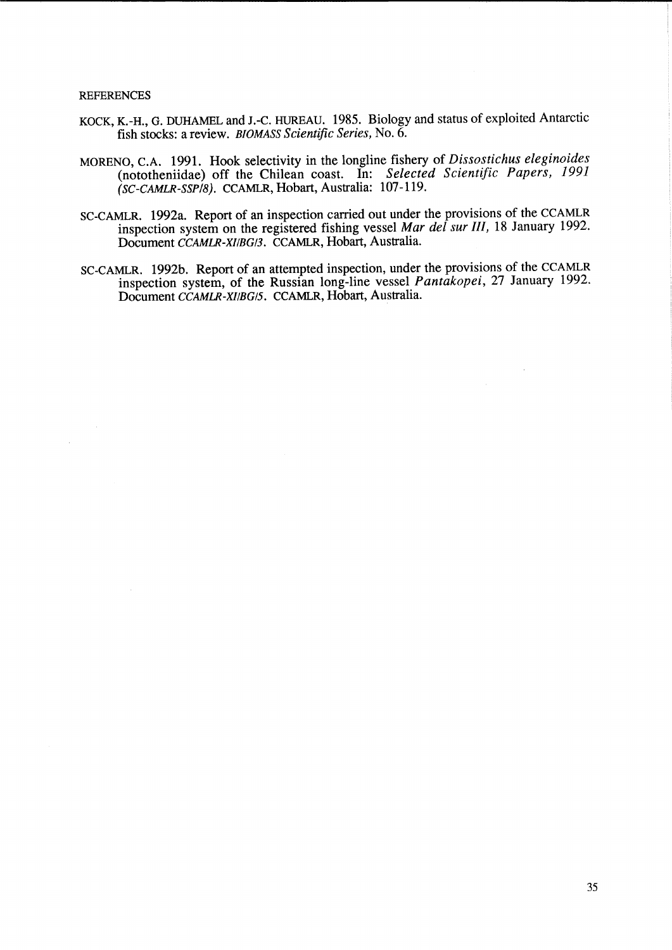#### **REFERENCES**

 $\bar{a}$ 

- KOCK, K.-H., G. DUHAMEL and J.-C. HUREAU. 1985. Biology and status of exploited Antarctic fish stocks: a review. *BIOMASS Scientific Series,* No. 6.
- MORENO, C.A. 1991. Hook selectivity in the longline fishery of *Dissostichus eleginoides*  (nototheniidae) off the Chilean coast. In: *Selected Scientific Papers, 1991 (SC-CAMLR-SSP/8).* CCAMLR, Hobart, Australia: 107-119.
- SC-CAMLR. 1992a. Report of an inspection carried out under the provisions of the CCAMLR inspection system on the registered fishing vessel *Mar del sur* Ill, 18 January 1992. Document *CCAMLR-x//BG/3.* CCAMLR, Hobart, Australia.
- SC-CAMLR. 1992b. Report of an attempted inspection, under the provisions of the CCAMLR inspection system, of the Russian long-line vessel *Pantakopei,* 27 January 1992. Document *CCAMLR-X//BG/5.* CCAMLR, Hobart, Australia.

 $\sim$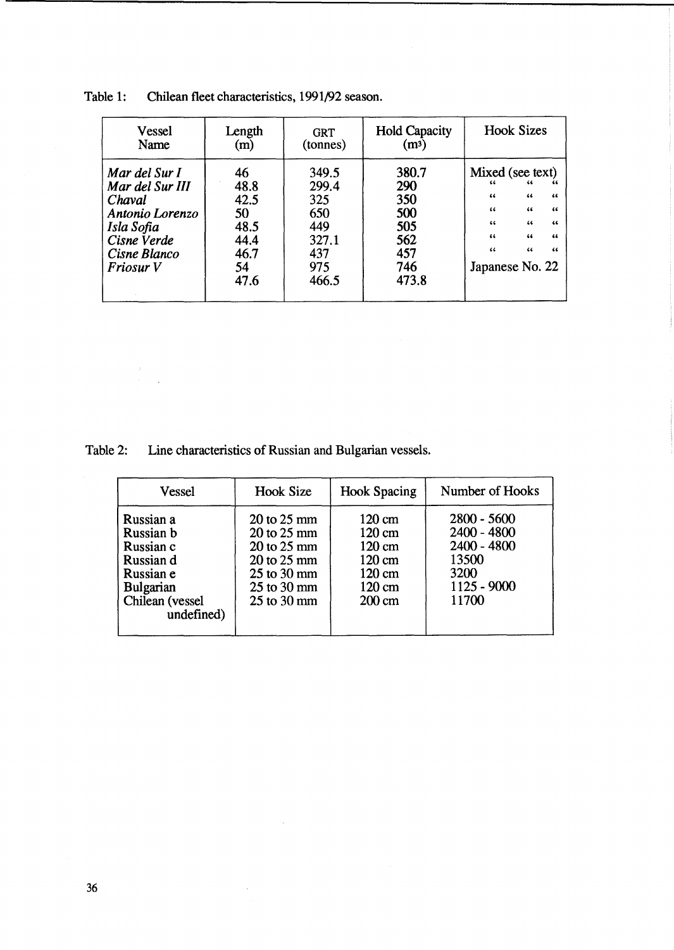| <b>Vessel</b>                                                                                                           | Length                                                         | <b>GRT</b>                                                          | <b>Hold Capacity</b>                                            | <b>Hook Sizes</b>                                                                                                                         |  |
|-------------------------------------------------------------------------------------------------------------------------|----------------------------------------------------------------|---------------------------------------------------------------------|-----------------------------------------------------------------|-------------------------------------------------------------------------------------------------------------------------------------------|--|
| Name                                                                                                                    | (m)                                                            | (tonnes)                                                            | (m <sup>3</sup> )                                               |                                                                                                                                           |  |
| Mar del Sur I<br>Mar del Sur III<br>Chaval<br>Antonio Lorenzo<br>Isla Sofia<br>Cisne Verde<br>Cisne Blanco<br>Friosur V | 46<br>48.8<br>42.5<br>50<br>48.5<br>44.4<br>46.7<br>54<br>47.6 | 349.5<br>299.4<br>325<br>650<br>449<br>327.1<br>437<br>975<br>466.5 | 380.7<br>290<br>350<br>500<br>505<br>562<br>457<br>746<br>473.8 | Mixed (see text)<br>46<br>66<br>66<br>44<br>66<br>44<br>44<br>66<br>44<br>66<br>46<br>66<br>66<br>44<br>44<br>44<br>66<br>Japanese No. 22 |  |

Table 1: Chilean fleet characteristics, 1991/92 season.

Table 2: Line characteristics of Russian and Bulgarian vessels.

 $\bar{\beta}$ 

 $\mathcal{F}$ 

 $\bar{\mathcal{A}}$ 

| Vessel                                                                                                             | <b>Hook Size</b>                                                                                                                                        | <b>Hook Spacing</b>                                                                                                  | Number of Hooks                                                                            |  |  |
|--------------------------------------------------------------------------------------------------------------------|---------------------------------------------------------------------------------------------------------------------------------------------------------|----------------------------------------------------------------------------------------------------------------------|--------------------------------------------------------------------------------------------|--|--|
| Russian a<br>Russian b<br>Russian c<br>Russian d<br>Russian e<br><b>Bulgarian</b><br>Chilean (vessel<br>undefined) | $20 \text{ to } 25 \text{ mm}$<br>$20 \text{ to } 25 \text{ mm}$<br>$20$ to $25$ mm<br>20 to 25 mm<br>25 to 30 mm<br>$25$ to $30$ mm<br>$25$ to $30$ mm | 120 cm<br>120 cm<br>$120 \text{ cm}$<br>$120 \text{ cm}$<br>$120 \text{ cm}$<br>$120 \text{ cm}$<br>$200 \text{ cm}$ | $2800 - 5600$<br>$2400 - 4800$<br>$2400 - 4800$<br>13500<br>3200<br>$1125 - 9000$<br>11700 |  |  |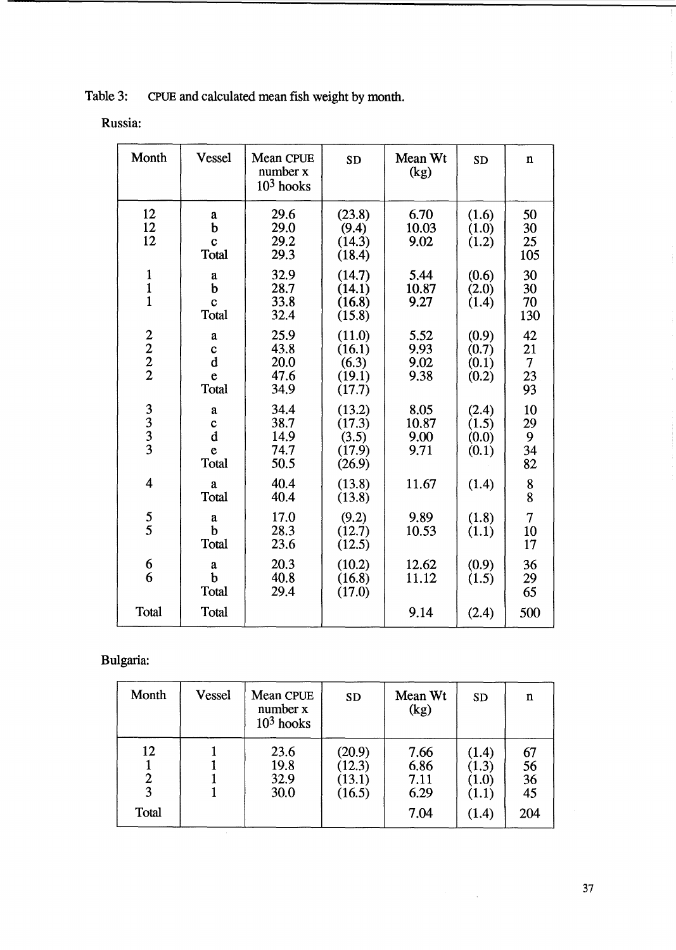Table 3: CPUE and calculated mean fish weight by month.

| Russia: |
|---------|
|         |
|         |

| Month                                      | <b>Vessel</b>                                           | Mean CPUE<br>number x<br>$103$ hooks | <b>SD</b>                                     | Mean Wt<br>(kg)               | <b>SD</b>                        | $\mathbf n$                            |
|--------------------------------------------|---------------------------------------------------------|--------------------------------------|-----------------------------------------------|-------------------------------|----------------------------------|----------------------------------------|
| 12<br>12<br>12                             | a<br>$\mathbf b$<br>$\mathbf c$<br>Total                | 29.6<br>29.0<br>29.2<br>29.3         | (23.8)<br>(9.4)<br>(14.3)<br>(18.4)           | 6.70<br>10.03<br>9.02         | (1.6)<br>(1.0)<br>(1.2)          | 50<br>30<br>25<br>105                  |
| $\frac{1}{1}$<br>$\mathbf{1}$              | a<br>b<br>$\mathbf c$<br>Total                          | 32.9<br>28.7<br>33.8<br>32.4         | (14.7)<br>(14.1)<br>(16.8)<br>(15.8)          | 5.44<br>10.87<br>9.27         | (0.6)<br>(2.0)<br>(1.4)          | 30<br>30<br>70<br>130                  |
| $\frac{2}{2}$<br>$\frac{2}{2}$             | $\mathbf a$<br>$\mathbf c$<br>$\mathbf d$<br>e<br>Total | 25.9<br>43.8<br>20.0<br>47.6<br>34.9 | (11.0)<br>(16.1)<br>(6.3)<br>(19.1)<br>(17.7) | 5.52<br>9.93<br>9.02<br>9.38  | (0.9)<br>(0.7)<br>(0.1)<br>(0.2) | 42<br>21<br>$\overline{7}$<br>23<br>93 |
| $\begin{array}{c} 3 \\ 3 \\ 3 \end{array}$ | $\mathbf a$<br>$\mathbf c$<br>$\mathbf d$<br>e<br>Total | 34.4<br>38.7<br>14.9<br>74.7<br>50.5 | (13.2)<br>(17.3)<br>(3.5)<br>(17.9)<br>(26.9) | 8.05<br>10.87<br>9.00<br>9.71 | (2.4)<br>(1.5)<br>(0.0)<br>(0.1) | 10<br>29<br>9<br>34<br>82              |
| $\overline{\mathbf{4}}$                    | $\mathbf{a}$<br>Total                                   | 40.4<br>40.4                         | (13.8)<br>(13.8)                              | 11.67                         | (1.4)                            | 8<br>8                                 |
| $\frac{5}{5}$                              | a<br>$\mathbf b$<br>Total                               | 17.0<br>28.3<br>23.6                 | (9.2)<br>(12.7)<br>(12.5)                     | 9.89<br>10.53                 | (1.8)<br>(1.1)                   | $\overline{7}$<br>10<br>17             |
| $\frac{6}{6}$                              | a<br>$\mathbf b$<br>Total                               | 20.3<br>40.8<br>29.4                 | (10.2)<br>(16.8)<br>(17.0)                    | 12.62<br>11.12                | (0.9)<br>(1.5)                   | 36<br>29<br>65                         |
| <b>Total</b>                               | <b>Total</b>                                            |                                      |                                               | 9.14                          | (2.4)                            | 500                                    |

Bulgaria:

| Month            | <b>Vessel</b> | Mean CPUE<br>number x<br>$103$ hooks | <b>SD</b>                            | Mean Wt<br>(kg)                      | <b>SD</b>                                                | n                                               |
|------------------|---------------|--------------------------------------|--------------------------------------|--------------------------------------|----------------------------------------------------------|-------------------------------------------------|
| 12<br>3<br>Total |               | 23.6<br>19.8<br>32.9<br>30.0         | (20.9)<br>(12.3)<br>(13.1)<br>(16.5) | 7.66<br>6.86<br>7.11<br>6.29<br>7.04 | (1.4)<br>(1.3)<br>$\left( 1.0 \right)$<br>(1.1)<br>(1.4) | $\frac{67}{56}$<br>$\frac{36}{15}$<br>45<br>204 |

 $\frac{1}{2} \sum_{i=1}^n \frac{1}{2} \sum_{j=1}^n \frac{1}{2} \sum_{j=1}^n \frac{1}{2} \sum_{j=1}^n \frac{1}{2} \sum_{j=1}^n \frac{1}{2} \sum_{j=1}^n \frac{1}{2} \sum_{j=1}^n \frac{1}{2} \sum_{j=1}^n \frac{1}{2} \sum_{j=1}^n \frac{1}{2} \sum_{j=1}^n \frac{1}{2} \sum_{j=1}^n \frac{1}{2} \sum_{j=1}^n \frac{1}{2} \sum_{j=1}^n \frac{1}{2} \sum_{j=$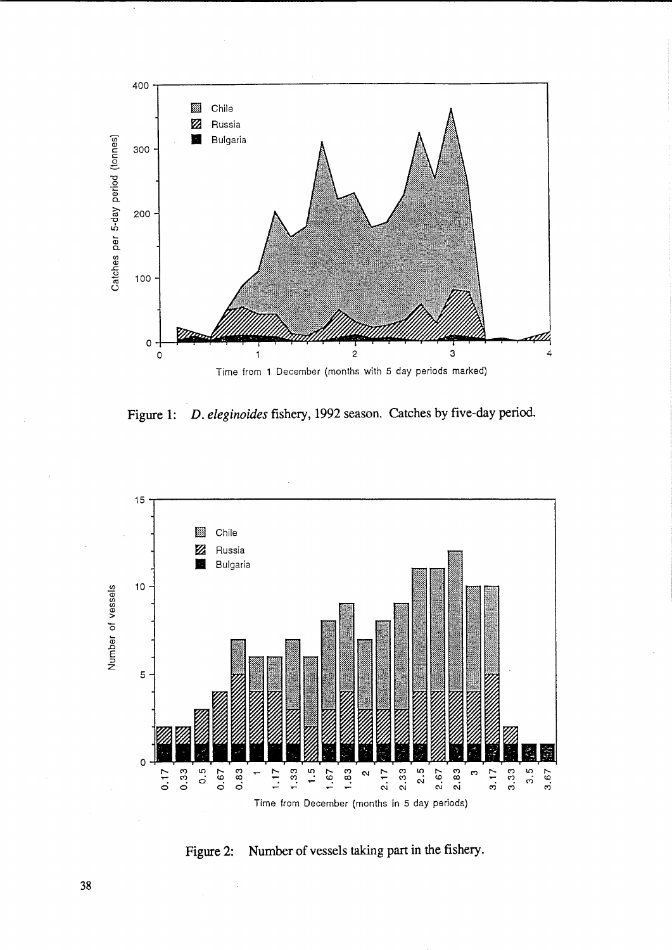

D. eleginoides fishery, 1992 season. Catches by five-day period. Figure 1:



Number of vessels taking part in the fishery. Figure 2: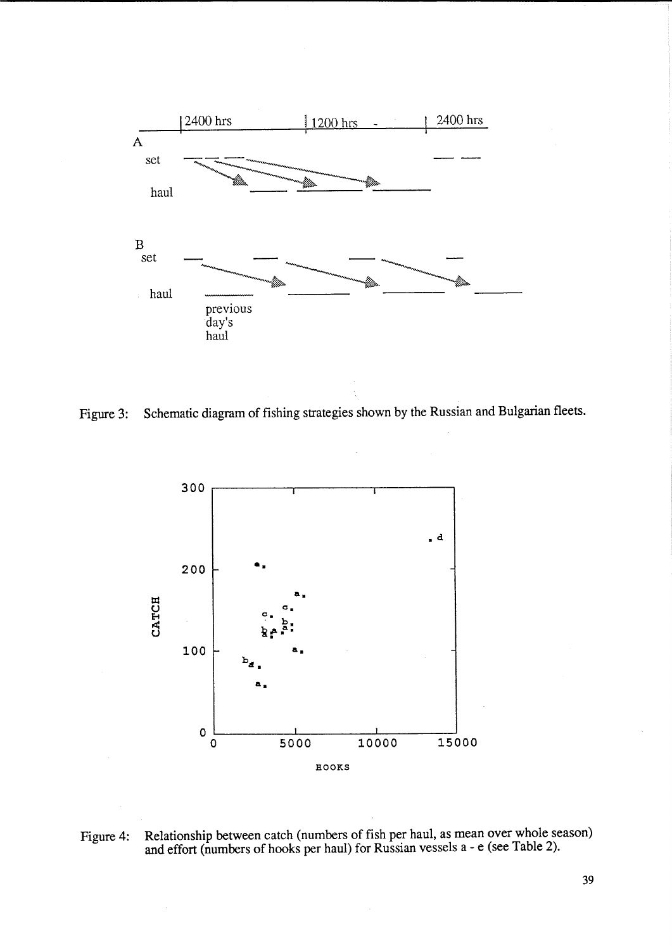

Figure 3: Schematic diagram of fishing strategies shown by the Russian and Bulgarian fleets.



Figure 4: Relationship between catch (numbers of fish per haul, as mean over whole season) and effort (numbers of hooks per haul) for Russian vessels a - e (see Table 2).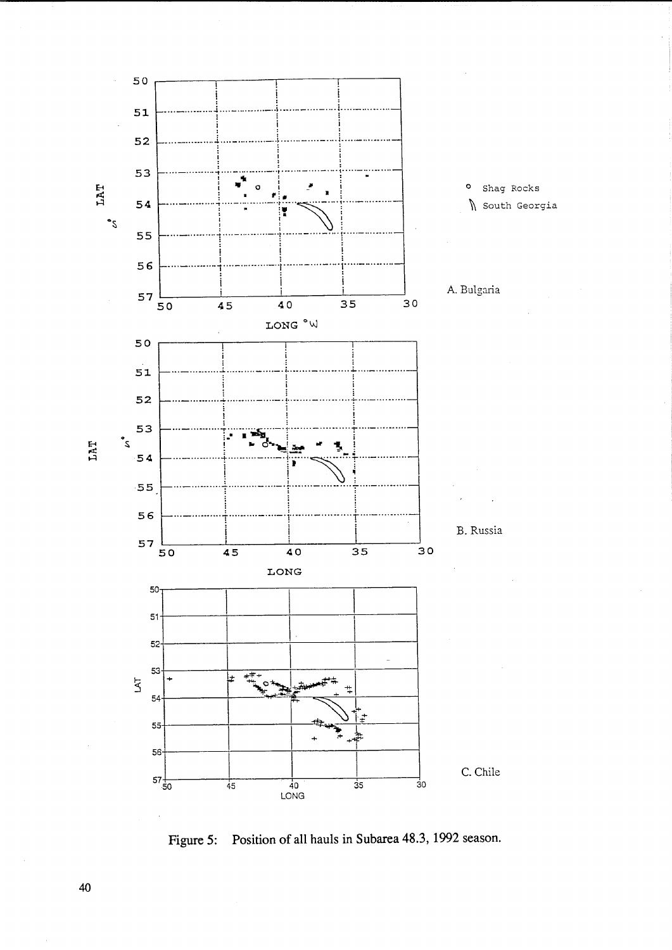

Figure 5: Position of all hauls in Subarea 48.3, 1992 season.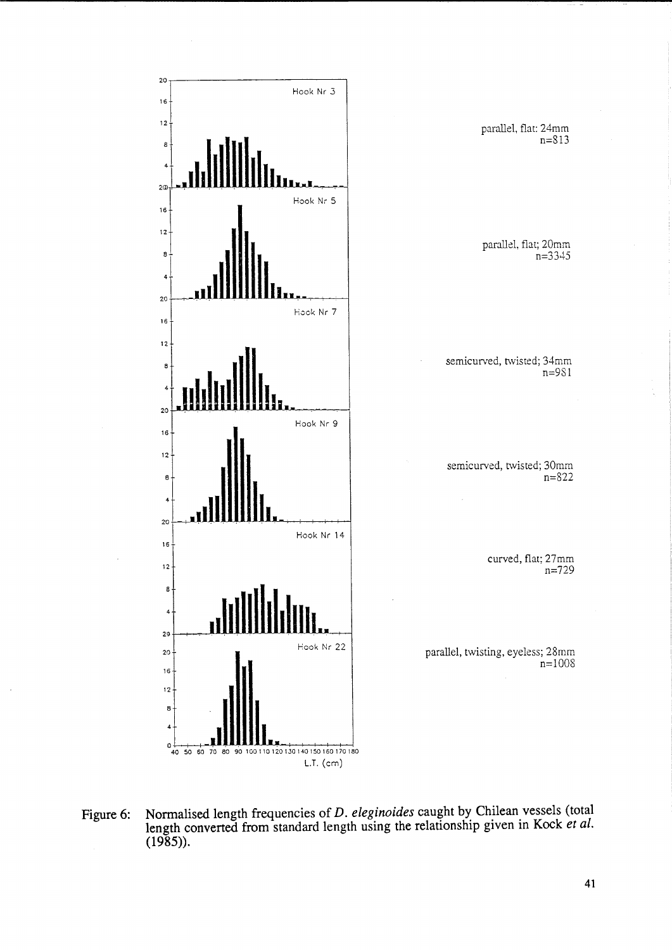

**Figure 6: Normalised length frequencies of** *D. eleginoides* **caught by Chilean vessels (total length converted from standard length using the relationship given in Kock** *et al.*  **(1985)).**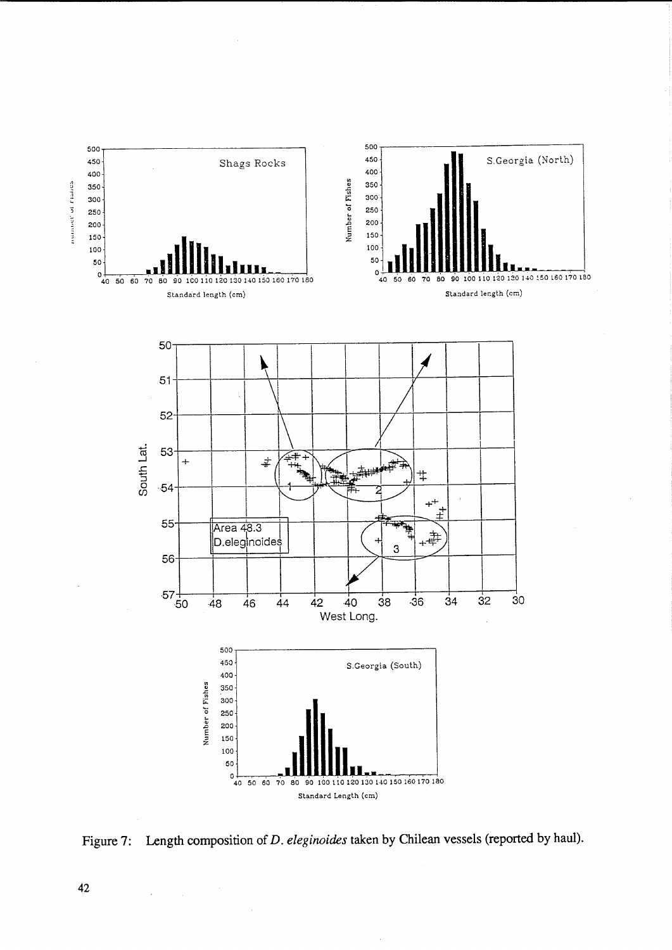

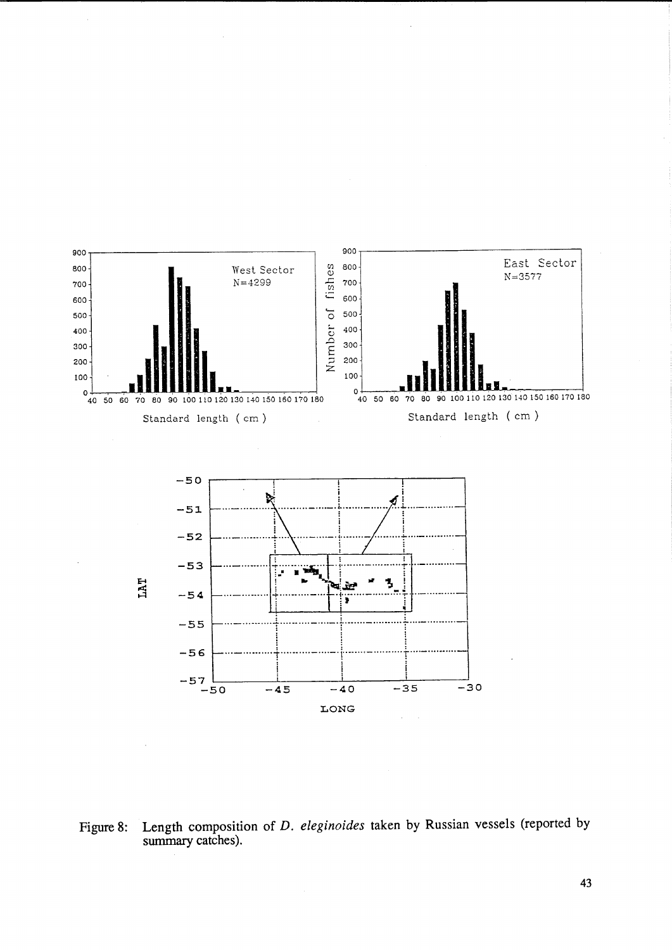

Length composition of D. eleginoides taken by Russian vessels (reported by Figure 8: summary catches).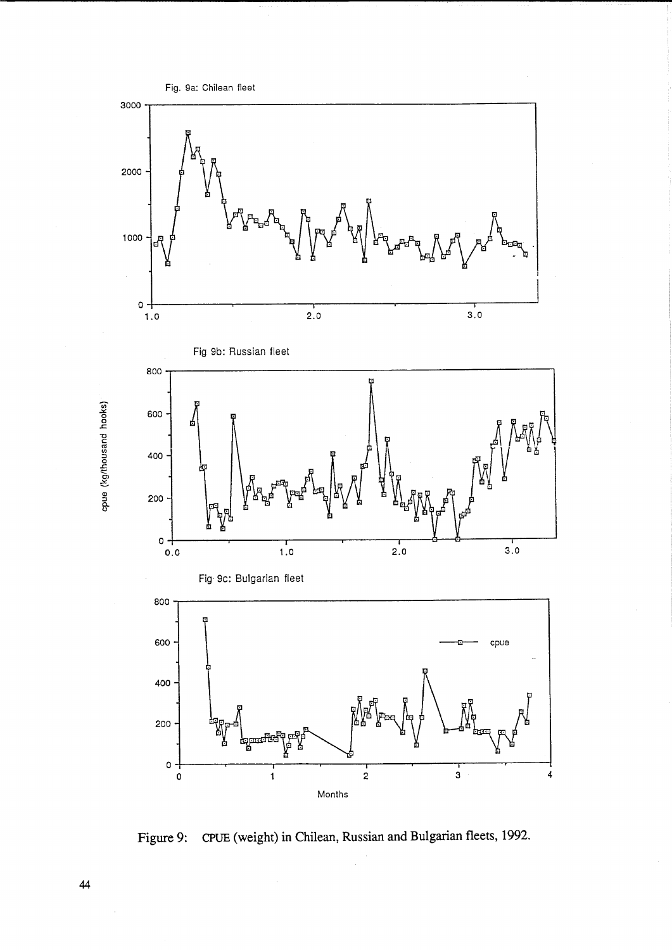

**Figure 9: CPUE (weight) in Chilean, Russian and Bulgarian fleets, 1992.** 

 $\ddot{\phantom{a}}$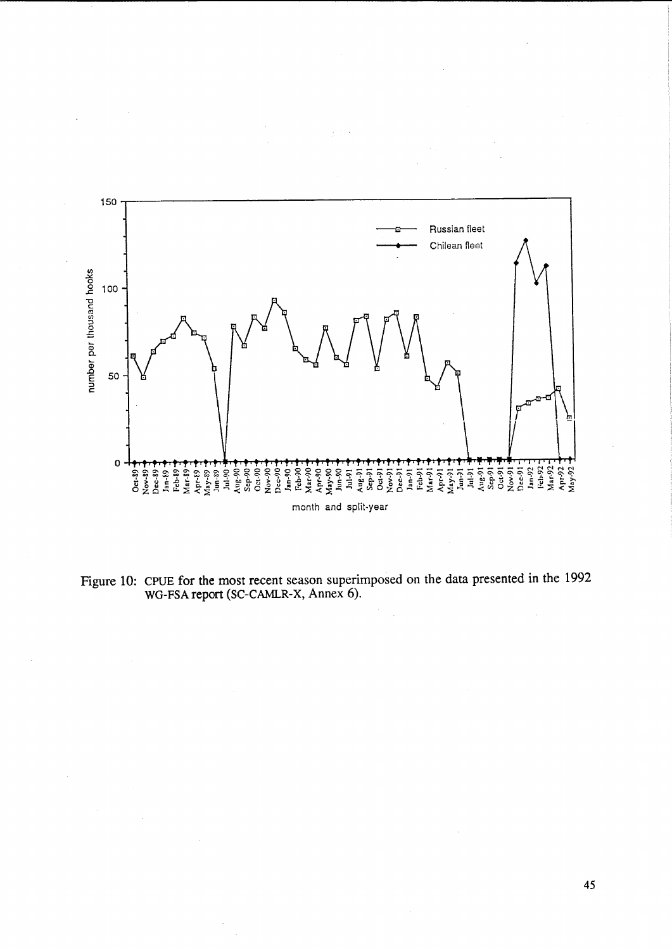

2<br> $\frac{45}{100}$ 

 $\bar{\mathcal{A}}$ 

 $\mathcal{L}_{\mathcal{A}}$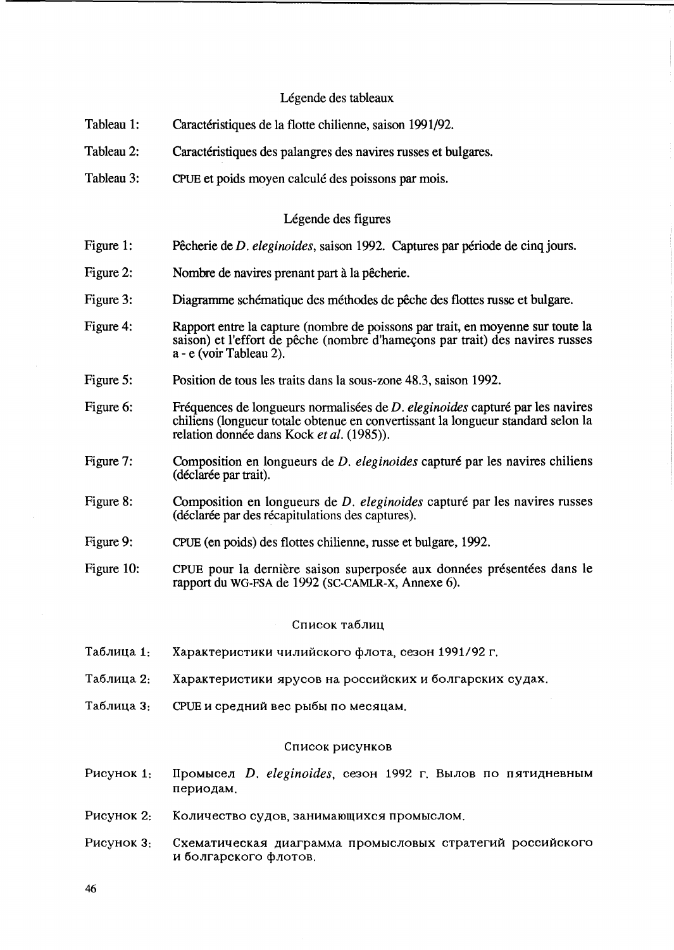# Légende des tableaux

- Tableau 1: Caractéristiques de la flotte chilienne, saison 1991/92.
- Tableau 2: Caractéristiques des palangres des navires russes et bulgares.
- Tableau 3: CPUE et poids moyen calcule des poissons par mois.

# Légende des figures

- Figure 1: Pêcherie de *D. eleginoides*, saison 1992. Captures par période de cinq jours.
- Figure 2: Nombre de navires prenant part à la pêcherie.
- Figure 3: Diagramme schématique des méthodes de pêche des flottes russe et bulgare.
- Figure 4: Rapport entre la capture (nombre de poissons par trait, en moyenne sur toute la saison) et l'effort de pêche (nombre d'hameçons par trait) des navires russes a - e (voir Tableau 2).
- Figure 5: Position de tous les traits dans la sous-zone 48.3, saison 1992.
- Figure 6: Fréquences de longueurs normalisées de *D. eleginoides* capturé par les navires chiliens (longueur totale obtenue en convertissant la longueur standard selon la relation donnée dans Kock et al. (1985)).
- Figure 7: Composition en longueurs de *D. eleginoides* capturé par les navires chiliens (déclarée par trait).
- Figure 8: Composition en longueurs de *D. eleginoides* capturé par les navires russes (déclarée par des récapitulations des captures).
- Figure 9: CPUE (en poids) des flottes chilienne, russe et bulgare, 1992.
- Figure 10: CPUE pour la dernière saison superposée aux données présentées dans le rapport du WG-FSA de 1992 (SC-CAMLR-X, Annexe 6).

### Список таблиц

- Таблица 1: Характеристики чилийского флота, сезон 1991/92 г.
- Таблица 2: Характеристики ярусов на российских и болгарских судах.
- Таблица 3: СРUЕ и средний вес рыбы по месяцам.

#### Список рисунков

- Pucyнок 1: Промысел *D. eleginoides*, сезон 1992 г. Вылов по пятидневным периодам.
- Рисунок 2: Количество судов, занимающихся промыслом.
- Рисунок 3: Схематическая диаграмма промысловых стратегий российского и болгарского флотов.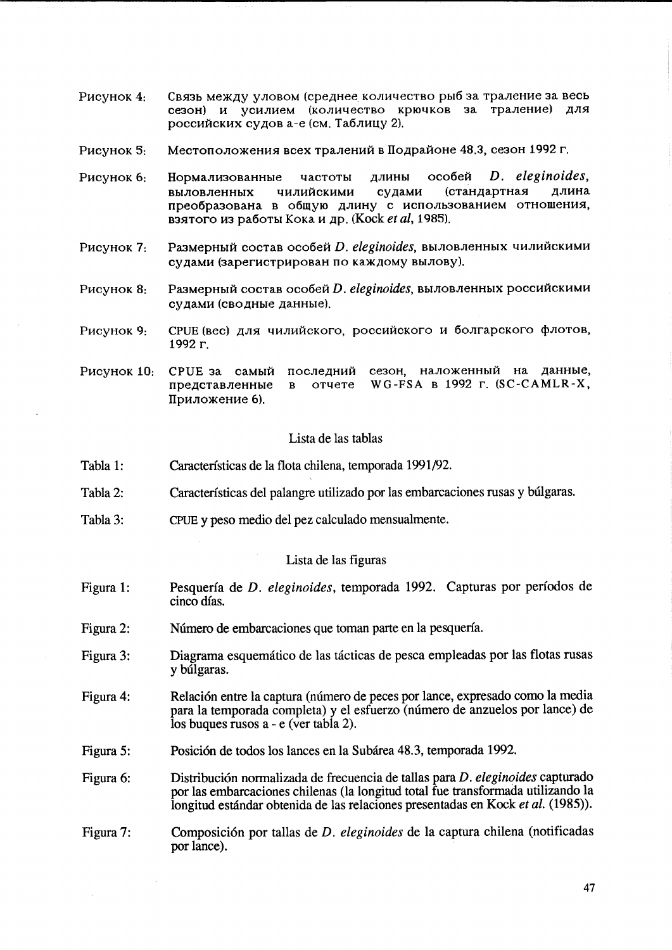- Связь между уловом (среднее количество рыб за траление за весь Рисунок 4: сезон) и усилием (количество крючков за траление) для российских судов а-е (см. Таблицу 2).
- Местоположения всех тралений в Подрайоне 48.3, сезон 1992 г. Рисунок 5:
- D. eleginoides. Рисунок 6: Нормализованные частоты длины особей чилийскими судами (стандартная ллина выловленных преобразована в общую длину с использованием отношения, взятого из работы Кока и др. (Kock et al, 1985).
- Размерный состав особей D. eleginoides, выловленных чилийскими Рисунок 7. судами (зарегистрирован по каждому вылову).
- Размерный состав особей D. eleginoides, выловленных российскими Рисунок 8: судами (сводные данные).
- Рисунок 9: СРUЕ (вес) для чилийского, российского и болгарского флотов, 1992 г.
- Рисунок 10: **СРUЕ** за самый последний сезон, наложенный на данные, WG-FSA B 1992 r. (SC-CAMLR-X, представленные  $\mathbf{B}$ отчете Приложение 6).

# Lista de las tablas

- Características de la flota chilena, temporada 1991/92. Tabla 1:
- Características del palangre utilizado por las embarcaciones rusas y búlgaras. Tabla 2:
- Tabla 3: CPUE y peso medio del pez calculado mensualmente.

#### Lista de las figuras

- Pesquería de D. eleginoides, temporada 1992. Capturas por períodos de Figura 1: cinco días.
- Figura 2: Número de embarcaciones que toman parte en la pesquería.
- Diagrama esquemático de las tácticas de pesca empleadas por las flotas rusas Figura 3: y búlgaras.
- Figura 4: Relación entre la captura (número de peces por lance, expresado como la media para la temporada completa) y el esfuerzo (número de anzuelos por lance) de los buques rusos a - e (ver tabla 2).
- Posición de todos los lances en la Subárea 48.3, temporada 1992. Figura 5:
- Distribución normalizada de frecuencia de tallas para D. eleginoides capturado Figura 6: por las embarcaciones chilenas (la longitud total fue transformada utilizando la longitud estándar obtenida de las relaciones presentadas en Kock et al. (1985)).
- Composición por tallas de D. eleginoides de la captura chilena (notificadas Figura 7: por lance).